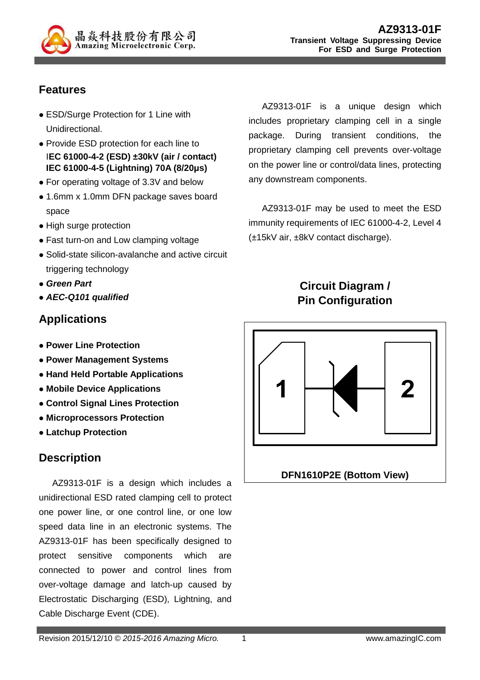

# **Features**

- ESD/Surge Protection for 1 Line with Unidirectional.
- Provide ESD protection for each line to I**EC 61000-4-2 (ESD) ±30kV (air / contact) IEC 61000-4-5 (Lightning) 70A (8/20µs)**
- For operating voltage of 3.3V and below
- 1.6mm x 1.0mm DFN package saves board space
- High surge protection
- Fast turn-on and Low clamping voltage
- Solid-state silicon-avalanche and active circuit triggering technology
- **Green Part**
- **AEC-Q101 qualified**

### **Applications**

- **Power Line Protection**
- **Power Management Systems**
- **Hand Held Portable Applications**
- **Mobile Device Applications**
- **Control Signal Lines Protection**
- **Microprocessors Protection**
- **Latchup Protection**

#### **Description**

AZ9313-01F is a design which includes a unidirectional ESD rated clamping cell to protect one power line, or one control line, or one low speed data line in an electronic systems. The AZ9313-01F has been specifically designed to protect sensitive components which are connected to power and control lines from over-voltage damage and latch-up caused by Electrostatic Discharging (ESD), Lightning, and Cable Discharge Event (CDE).

AZ9313-01F is a unique design which includes proprietary clamping cell in a single package. During transient conditions, the proprietary clamping cell prevents over-voltage on the power line or control/data lines, protecting any downstream components.

AZ9313-01F may be used to meet the ESD immunity requirements of IEC 61000-4-2, Level 4 (±15kV air, ±8kV contact discharge).

# **Circuit Diagram / Pin Configuration**

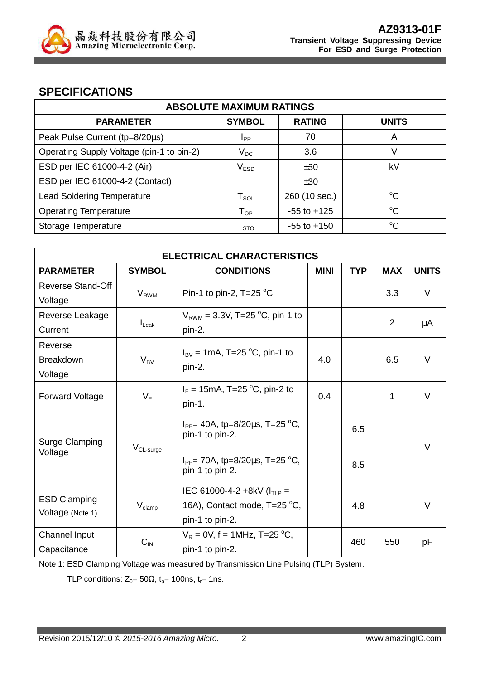

#### **SPECIFICATIONS**

| <b>ABSOLUTE MAXIMUM RATINGS</b>           |                            |                 |              |  |  |  |
|-------------------------------------------|----------------------------|-----------------|--------------|--|--|--|
| <b>PARAMETER</b>                          | <b>SYMBOL</b>              | <b>RATING</b>   | <b>UNITS</b> |  |  |  |
| Peak Pulse Current (tp=8/20µs)            | Ipp                        | 70              | Α            |  |  |  |
| Operating Supply Voltage (pin-1 to pin-2) | $V_{DC}$                   | 3.6             | V            |  |  |  |
| ESD per IEC 61000-4-2 (Air)               | V <sub>ESD</sub>           | ±30             | kV           |  |  |  |
| ESD per IEC 61000-4-2 (Contact)           |                            | ±30             |              |  |  |  |
| <b>Lead Soldering Temperature</b>         | $T_{\texttt{SOL}}$         | 260 (10 sec.)   | $^{\circ}C$  |  |  |  |
| <b>Operating Temperature</b>              | $\mathsf{T}_{\mathsf{OP}}$ | $-55$ to $+125$ | $^{\circ}C$  |  |  |  |
| Storage Temperature                       | ${\sf T}_{\text{STO}}$     | $-55$ to $+150$ | $^{\circ}C$  |  |  |  |

| <b>ELECTRICAL CHARACTERISTICS</b>       |                         |                                                          |             |            |                |              |
|-----------------------------------------|-------------------------|----------------------------------------------------------|-------------|------------|----------------|--------------|
| <b>PARAMETER</b>                        | <b>SYMBOL</b>           | <b>CONDITIONS</b>                                        | <b>MINI</b> | <b>TYP</b> | <b>MAX</b>     | <b>UNITS</b> |
| <b>Reverse Stand-Off</b>                | <b>V</b> <sub>RWM</sub> | Pin-1 to pin-2, $T=25$ °C.                               |             |            | 3.3            | V            |
| Voltage                                 |                         |                                                          |             |            |                |              |
| Reverse Leakage                         |                         | $V_{RWM}$ = 3.3V, T=25 °C, pin-1 to                      |             |            | $\overline{2}$ |              |
| Current                                 | $I_{\text{Leak}}$       | pin-2.                                                   |             |            |                | μA           |
| Reverse                                 |                         | $I_{BV}$ = 1mA, T=25 °C, pin-1 to                        |             |            |                |              |
| <b>Breakdown</b>                        | $V_{BV}$                | pin-2.                                                   | 4.0         |            | 6.5            | $\vee$       |
| Voltage                                 |                         |                                                          |             |            |                |              |
| <b>Forward Voltage</b>                  | $V_F$                   | $I_F = 15 \text{mA}, T = 25 \text{ °C}, \text{pin-2 to}$ | 0.4         |            | 1              | V            |
|                                         |                         | pin-1.                                                   |             |            |                |              |
| <b>Surge Clamping</b><br>Voltage        | $V_{CL-surge}$          | $I_{PP}$ = 40A, tp=8/20 $\mu$ s, T=25 °C,                |             | 6.5        |                | $\vee$       |
|                                         |                         | pin-1 to pin-2.                                          |             |            |                |              |
|                                         |                         | $I_{PP}$ 70A, tp=8/20 $\mu$ s, T=25 °C,                  |             |            |                |              |
|                                         |                         | pin-1 to pin-2.                                          |             | 8.5        |                |              |
| <b>ESD Clamping</b><br>Voltage (Note 1) |                         | IEC 61000-4-2 +8kV ( $I_{TLP}$ =                         |             |            |                |              |
|                                         | $V_{\text{clamp}}$      | 16A), Contact mode, T=25 °C,                             |             | 4.8        |                | $\vee$       |
|                                         |                         | pin-1 to pin-2.                                          |             |            |                |              |
| Channel Input                           |                         | $V_R = 0V$ , f = 1MHz, T=25 °C,                          |             |            |                |              |
| Capacitance                             | $C_{IN}$                | pin-1 to pin-2.                                          | 460         |            | 550            | рF           |

Note 1: ESD Clamping Voltage was measured by Transmission Line Pulsing (TLP) System.

TLP conditions:  $Z_0 = 50\Omega$ ,  $t_p = 100$ ns,  $t_r = 1$ ns.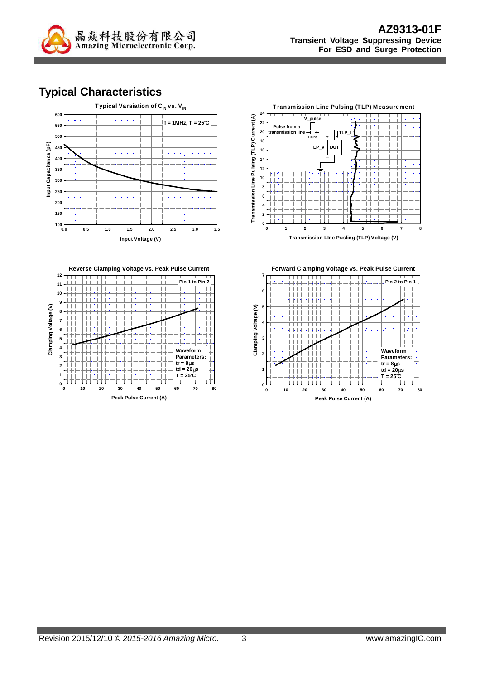

# **Typical Characteristics**





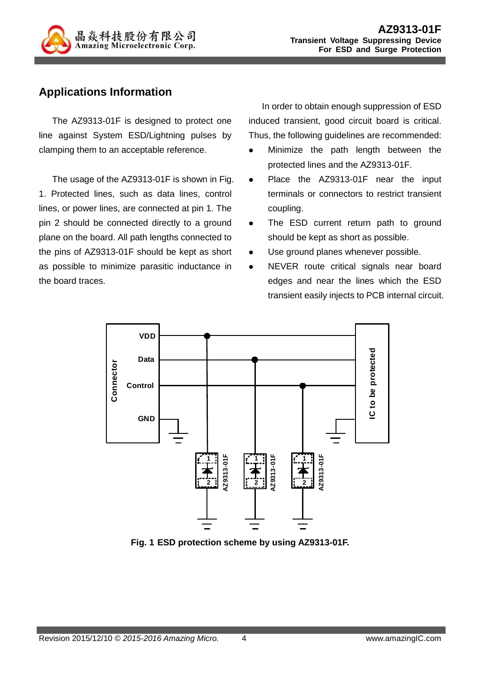

## **Applications Information**

The AZ9313-01F is designed to protect one line against System ESD/Lightning pulses by clamping them to an acceptable reference.

The usage of the AZ9313-01F is shown in Fig. 1. Protected lines, such as data lines, control lines, or power lines, are connected at pin 1. The pin 2 should be connected directly to a ground plane on the board. All path lengths connected to the pins of AZ9313-01F should be kept as short as possible to minimize parasitic inductance in the board traces.

In order to obtain enough suppression of ESD induced transient, good circuit board is critical. Thus, the following guidelines are recommended:

- Minimize the path length between the protected lines and the AZ9313-01F.
- Place the AZ9313-01F near the input terminals or connectors to restrict transient coupling.
- The ESD current return path to ground should be kept as short as possible.
- Use ground planes whenever possible.
- NEVER route critical signals near board edges and near the lines which the ESD transient easily injects to PCB internal circuit.



**Fig. 1 ESD protection scheme by using AZ9313-01F.**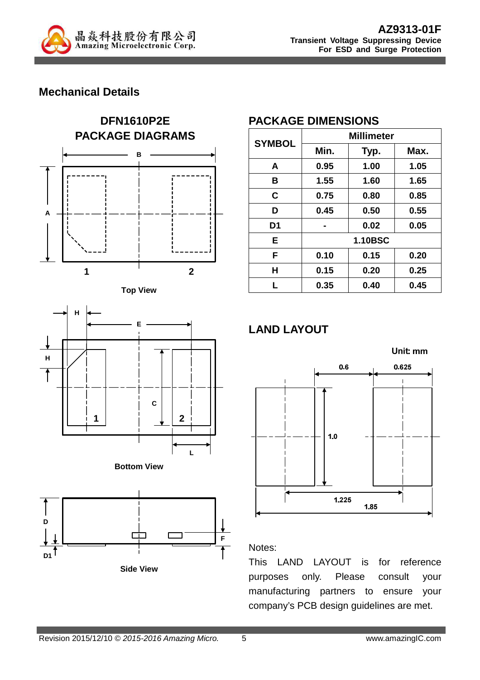

## **Mechanical Details**













# **PACKAGE DIMENSIONS**

| <b>SYMBOL</b>  | <b>Millimeter</b> |      |      |  |  |
|----------------|-------------------|------|------|--|--|
|                | Min.              | Typ. | Max. |  |  |
| A              | 0.95              | 1.00 | 1.05 |  |  |
| в              | 1.55              | 1.60 | 1.65 |  |  |
| C              | 0.75              | 0.80 | 0.85 |  |  |
| D              | 0.45              | 0.50 | 0.55 |  |  |
| D <sub>1</sub> |                   | 0.02 | 0.05 |  |  |
| Е              | <b>1.10BSC</b>    |      |      |  |  |
| F              | 0.10              | 0.15 | 0.20 |  |  |
| H              | 0.15              | 0.20 | 0.25 |  |  |
| L              | 0.35              | 0.40 | 0.45 |  |  |

# **LAND LAYOUT**



#### Notes:

This LAND LAYOUT is for reference purposes only. Please consult your manufacturing partners to ensure your company's PCB design guidelines are met.